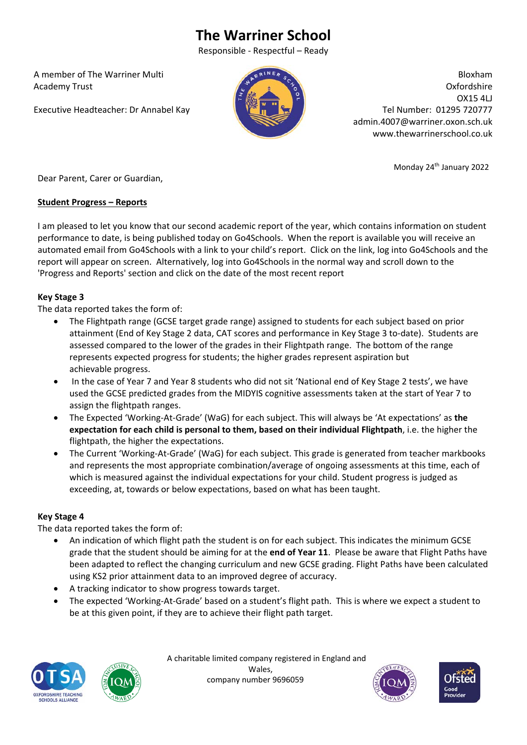# **The Warriner School**

Responsible ‐ Respectful – Ready

 A member of The Warriner Multi Academy Trust

Executive Headteacher: Dr Annabel Kay



Bloxham Oxfordshire OX15 4LJ Tel Number: 01295 720777 admin.4007@warriner.oxon.sch.uk www.thewarrinerschool.co.uk

Monday 24th January 2022

Dear Parent, Carer or Guardian,

#### **Student Progress – Reports**

I am pleased to let you know that our second academic report of the year, which contains information on student performance to date, is being published today on Go4Schools. When the report is available you will receive an automated email from Go4Schools with a link to your child's report. Click on the link, log into Go4Schools and the report will appear on screen. Alternatively, log into Go4Schools in the normal way and scroll down to the 'Progress and Reports' section and click on the date of the most recent report

## **Key Stage 3**

The data reported takes the form of:

- The Flightpath range (GCSE target grade range) assigned to students for each subject based on prior attainment (End of Key Stage 2 data, CAT scores and performance in Key Stage 3 to‐date). Students are assessed compared to the lower of the grades in their Flightpath range. The bottom of the range represents expected progress for students; the higher grades represent aspiration but achievable progress.
- In the case of Year 7 and Year 8 students who did not sit 'National end of Key Stage 2 tests', we have used the GCSE predicted grades from the MIDYIS cognitive assessments taken at the start of Year 7 to assign the flightpath ranges.
- The Expected 'Working‐At‐Grade' (WaG) for each subject. This will always be 'At expectations' as **the expectation for each child is personal to them, based on their individual Flightpath**, i.e. the higher the flightpath, the higher the expectations.
- The Current 'Working‐At‐Grade' (WaG) for each subject. This grade is generated from teacher markbooks and represents the most appropriate combination/average of ongoing assessments at this time, each of which is measured against the individual expectations for your child. Student progress is judged as exceeding, at, towards or below expectations, based on what has been taught.

### **Key Stage 4**

The data reported takes the form of:

- An indication of which flight path the student is on for each subject. This indicates the minimum GCSE grade that the student should be aiming for at the **end of Year 11**. Please be aware that Flight Paths have been adapted to reflect the changing curriculum and new GCSE grading. Flight Paths have been calculated using KS2 prior attainment data to an improved degree of accuracy.
- A tracking indicator to show progress towards target.
- The expected 'Working‐At‐Grade' based on a student's flight path. This is where we expect a student to be at this given point, if they are to achieve their flight path target.





 A charitable limited company registered in England and Wales, company number 9696059